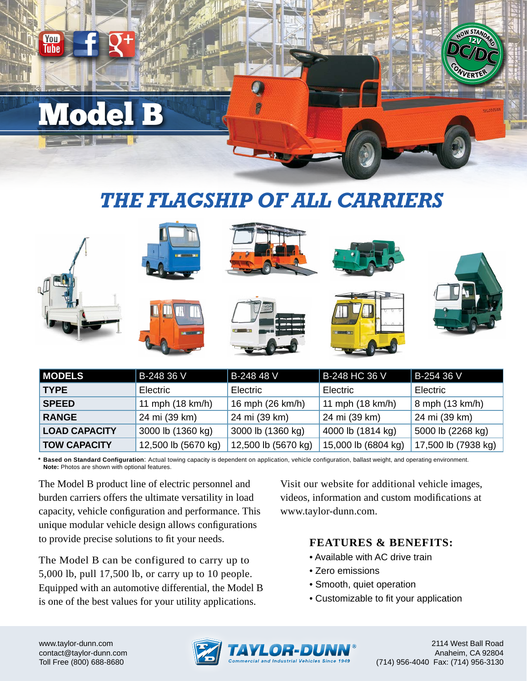# **Mode**

You Tuhe

### *THE FLAGSHIP OF ALL CARRIERS*

|               | <b>IN CONTRACT</b> |                  |                   |                 |
|---------------|--------------------|------------------|-------------------|-----------------|
| U             | --                 |                  | <b>COMMERCIAL</b> |                 |
| <b>MODELS</b> | B-248 36 V         | B-248 48 V       | B-248 HC 36 V     | B-254 36 V      |
| <b>TYPE</b>   | Electric           | Electric         | <b>Electric</b>   | Electric        |
| <b>SPEED</b>  | 11 mph (18 km/h)   | 16 mph (26 km/h) | 11 mph (18 km/h)  | 8 mph (13 km/h) |
|               |                    |                  |                   |                 |

| <b>RANGE</b>         | 24 mi (39 km)       | 24 mi (39 km)               | 24 mi (39 km)       | 24 mi (39 km)       |
|----------------------|---------------------|-----------------------------|---------------------|---------------------|
| <b>LOAD CAPACITY</b> | 3000 lb (1360 kg)   | 3000 lb (1360 kg)           | 4000 lb (1814 kg)   | 5000 lb (2268 kg)   |
| <b>TOW CAPACITY</b>  | 12,500 lb (5670 kg) | $\vert$ 12,500 lb (5670 kg) | 15,000 lb (6804 kg) | 17,500 lb (7938 kg) |
|                      |                     |                             |                     |                     |

**\* Based on Standard Configuration**: Actual towing capacity is dependent on application, vehicle configuration, ballast weight, and operating environment. **Note:** Photos are shown with optional features.

The Model B product line of electric personnel and burden carriers offers the ultimate versatility in load capacity, vehicle configuration and performance. This unique modular vehicle design allows configurations to provide precise solutions to fit your needs.

The Model B can be configured to carry up to 5,000 lb, pull 17,500 lb, or carry up to 10 people. Equipped with an automotive differential, the Model B is one of the best values for your utility applications.

Visit our website for additional vehicle images, videos, information and custom modifications at www.taylor-dunn.com.

#### **FEATURES & BENEFITS:**

- Available with AC drive train
- Zero emissions
- Smooth, quiet operation
- Customizable to fit your application